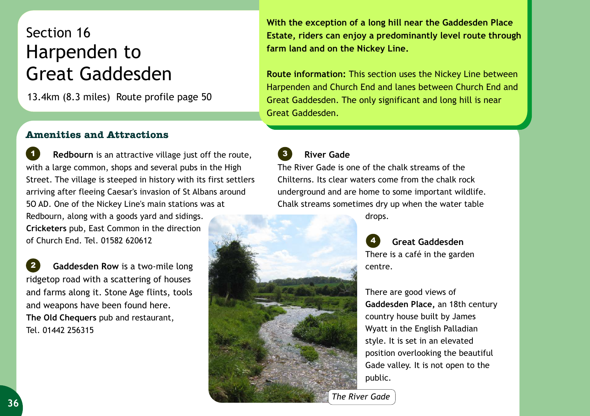## Section 16 Harpenden to Great Gaddesden

13.4km (8.3 miles) Route profile page 50

## **Amenities and Attractions**

 **Redbourn** is an attractive village just off the route, with a large common, shops and several pubs in the High Street. The village is steeped in history with its first settlers arriving after fleeing Caesar's invasion of St Albans around 5O AD. One of the Nickey Line's main stations was at Redbourn, along with a goods yard and sidings. **Cricketers** pub, East Common in the direction of Church End. Tel. 01582 620612 *1*

 **Gaddesden Row** is a two-mile long ridgetop road with a scattering of houses and farms along it. Stone Age flints, tools and weapons have been found here. **The Old Chequers** pub and restaurant, Tel. 01442 256315 *2*

**With the exception of a long hill near the Gaddesden Place Estate, riders can enjoy a predominantly level route through farm land and on the Nickey Line.** 

**Route information:** This section uses the Nickey Line between Harpenden and Church End and lanes between Church End and Great Gaddesden. The only significant and long hill is near Great Gaddesden.

*3*  **River Gade**

The River Gade is one of the chalk streams of the Chilterns. Its clear waters come from the chalk rock underground and are home to some important wildlife. Chalk streams sometimes dry up when the water table drops.



 **Great Gaddesden** There is a café in the garden centre. *4*

There are good views of **Gaddesden Place,** an 18th century country house built by James Wyatt in the English Palladian style. It is set in an elevated position overlooking the beautiful Gade valley. It is not open to the public.

*The River Gade*